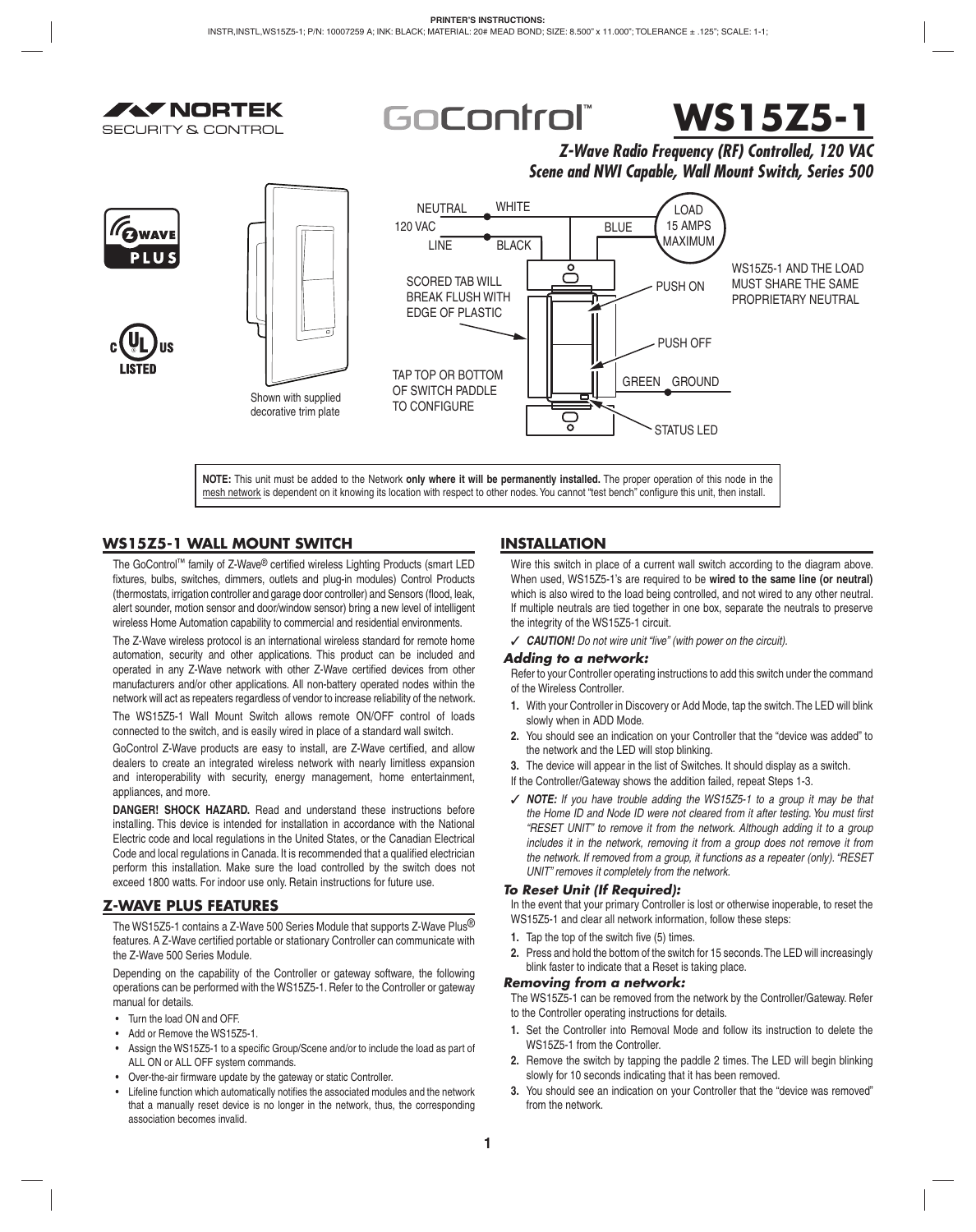



*Z-Wave Radio Frequency (RF) Controlled, 120 VAC Scene and NWI Capable, Wall Mount Switch, Series 500*



**NOTE:** This unit must be added to the Network **only where it will be permanently installed.** The proper operation of this node in the mesh network is dependent on it knowing its location with respect to other nodes. You cannot "test bench" configure this unit, then install.

# **WS15Z5-1 WALL MOUNT SWITCH**

**AV NORTEK** 

**SECURITY & CONTROL** 

The GoControl™ family of Z-Wave® certified wireless Lighting Products (smart LED fixtures, bulbs, switches, dimmers, outlets and plug-in modules) Control Products (thermostats, irrigation controller and garage door controller) and Sensors (flood, leak, alert sounder, motion sensor and door/window sensor) bring a new level of intelligent wireless Home Automation capability to commercial and residential environments.

The Z-Wave wireless protocol is an international wireless standard for remote home automation, security and other applications. This product can be included and operated in any Z-Wave network with other Z-Wave certified devices from other manufacturers and/or other applications. All non-battery operated nodes within the network will act as repeaters regardless of vendor to increase reliability of the network. The WS15Z5-1 Wall Mount Switch allows remote ON/OFF control of loads

connected to the switch, and is easily wired in place of a standard wall switch.

GoControl Z-Wave products are easy to install, are Z-Wave certified, and allow dealers to create an integrated wireless network with nearly limitless expansion and interoperability with security, energy management, home entertainment, appliances, and more.

**DANGER! SHOCK HAZARD.** Read and understand these instructions before installing. This device is intended for installation in accordance with the National Electric code and local regulations in the United States, or the Canadian Electrical Code and local regulations in Canada. It is recommended that a qualified electrician perform this installation. Make sure the load controlled by the switch does not exceed 1800 watts. For indoor use only. Retain instructions for future use.

# **Z-WAVE PLUS FEATURES**

The WS15Z5-1 contains a Z-Wave 500 Series Module that supports Z-Wave Plus<sup>®</sup> features. A Z-Wave certified portable or stationary Controller can communicate with the Z-Wave 500 Series Module.

Depending on the capability of the Controller or gateway software, the following operations can be performed with the WS15Z5-1. Refer to the Controller or gateway manual for details.

- Turn the load ON and OFF.
- Add or Remove the WS15Z5-1.
- Assign the WS15Z5-1 to a specific Group/Scene and/or to include the load as part of ALL ON or ALL OFF system commands.
- Over-the-air firmware update by the gateway or static Controller.
- Lifeline function which automatically notifies the associated modules and the network that a manually reset device is no longer in the network, thus, the corresponding association becomes invalid.

# **INSTALLATION**

Wire this switch in place of a current wall switch according to the diagram above. When used, WS15Z5-1's are required to be **wired to the same line (or neutral)**  which is also wired to the load being controlled, and not wired to any other neutral. If multiple neutrals are tied together in one box, separate the neutrals to preserve the integrity of the WS15Z5-1 circuit.

✓ *CAUTION! Do not wire unit "live" (with power on the circuit).*

# *Adding to a network:*

Refer to your Controller operating instructions to add this switch under the command of the Wireless Controller.

- **1.** With your Controller in Discovery or Add Mode, tap the switch. The LED will blink slowly when in ADD Mode.
- **2.** You should see an indication on your Controller that the "device was added" to the network and the LED will stop blinking.
- **3.** The device will appear in the list of Switches. It should display as a switch.
- If the Controller/Gateway shows the addition failed, repeat Steps 1-3.
- ✓ *NOTE: If you have trouble adding the WS15Z5-1 to a group it may be that*  the Home ID and Node ID were not cleared from it after testing. You must first *"RESET UNIT" to remove it from the network. Although adding it to a group includes it in the network, removing it from a group does not remove it from the network. If removed from a group, it functions as a repeater (only). "RESET UNIT" removes it completely from the network.*

# *To Reset Unit (If Required):*

In the event that your primary Controller is lost or otherwise inoperable, to reset the WS15Z5-1 and clear all network information, follow these steps:

- **1.** Tap the top of the switch five (5) times.
- **2.** Press and hold the bottom of the switch for 15 seconds. The LED will increasingly blink faster to indicate that a Reset is taking place.

# *Removing from a network:*

The WS15Z5-1 can be removed from the network by the Controller/Gateway. Refer to the Controller operating instructions for details.

- **1.** Set the Controller into Removal Mode and follow its instruction to delete the WS15Z5-1 from the Controller.
- **2.** Remove the switch by tapping the paddle 2 times. The LED will begin blinking slowly for 10 seconds indicating that it has been removed.
- **3.** You should see an indication on your Controller that the "device was removed" from the network.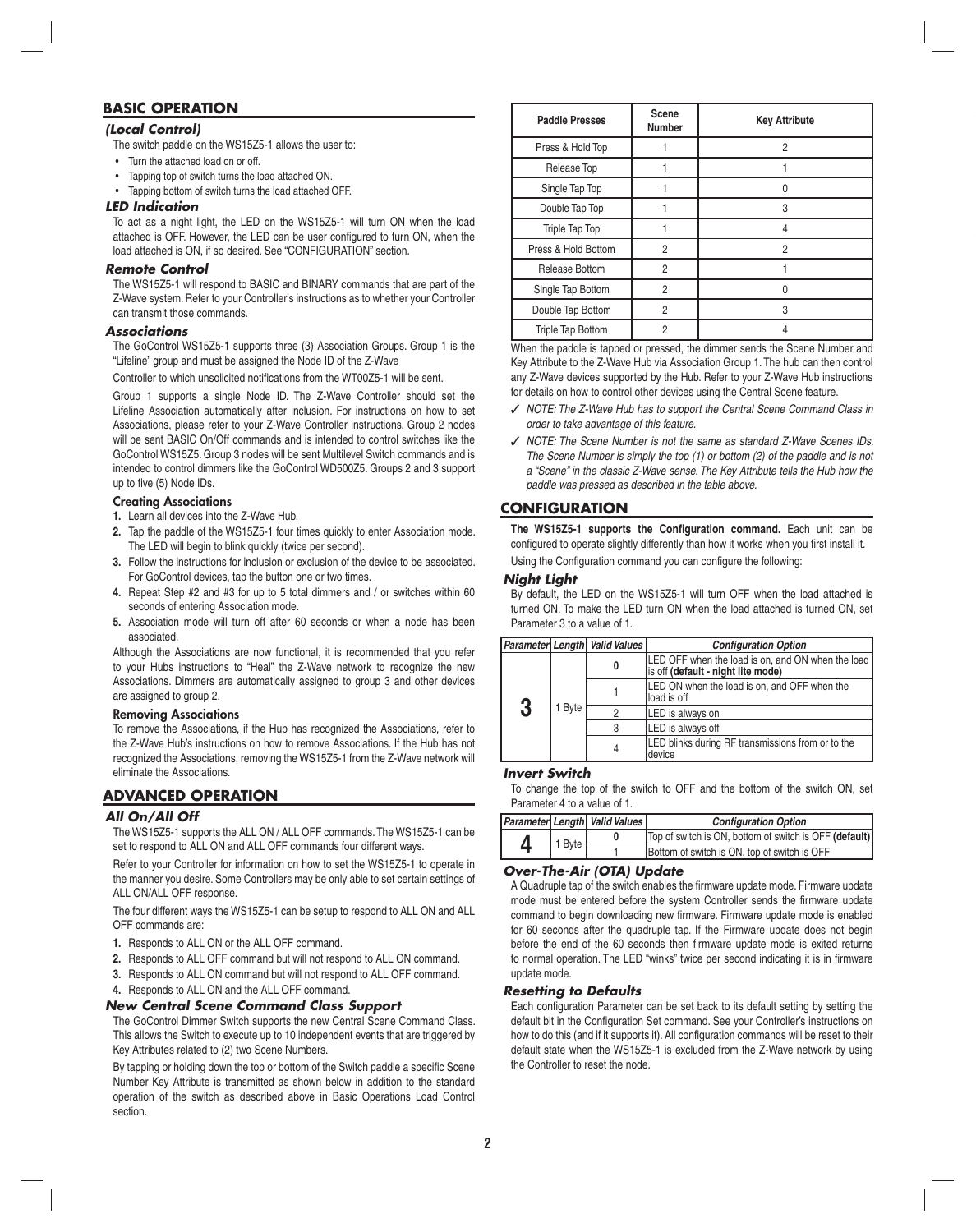# **BASIC OPERATION**

# *(Local Control)*

- The switch paddle on the WS15Z5-1 allows the user to:
- Turn the attached load on or off.
- Tapping top of switch turns the load attached ON.
- Tapping bottom of switch turns the load attached OFF.

## *LED Indication*

To act as a night light, the LED on the WS15Z5-1 will turn ON when the load attached is OFF. However, the LED can be user configured to turn ON, when the load attached is ON, if so desired. See "CONFIGURATION" section.

# *Remote Control*

The WS15Z5-1 will respond to BASIC and BINARY commands that are part of the Z-Wave system. Refer to your Controller's instructions as to whether your Controller can transmit those commands.

## *Associations*

The GoControl WS15Z5-1 supports three (3) Association Groups. Group 1 is the "Lifeline" group and must be assigned the Node ID of the Z-Wave

Controller to which unsolicited notifications from the WT00Z5-1 will be sent.

Group 1 supports a single Node ID. The Z-Wave Controller should set the Lifeline Association automatically after inclusion. For instructions on how to set Associations, please refer to your Z-Wave Controller instructions. Group 2 nodes will be sent BASIC On/Off commands and is intended to control switches like the GoControl WS15Z5. Group 3 nodes will be sent Multilevel Switch commands and is intended to control dimmers like the GoControl WD500Z5. Groups 2 and 3 support up to five (5) Node IDs.

# **Creating Associations**

- **1.** Learn all devices into the Z-Wave Hub.
- **2.** Tap the paddle of the WS15Z5-1 four times quickly to enter Association mode. The LED will begin to blink quickly (twice per second).
- **3.** Follow the instructions for inclusion or exclusion of the device to be associated. For GoControl devices, tap the button one or two times.
- **4.** Repeat Step #2 and #3 for up to 5 total dimmers and / or switches within 60 seconds of entering Association mode.
- **5.** Association mode will turn off after 60 seconds or when a node has been associated.

Although the Associations are now functional, it is recommended that you refer to your Hubs instructions to "Heal" the Z-Wave network to recognize the new Associations. Dimmers are automatically assigned to group 3 and other devices are assigned to group 2.

## **Removing Associations**

To remove the Associations, if the Hub has recognized the Associations, refer to the Z-Wave Hub's instructions on how to remove Associations. If the Hub has not recognized the Associations, removing the WS15Z5-1 from the Z-Wave network will eliminate the Associations.

# **ADVANCED OPERATION**

# *All On/All Off*

The WS15Z5-1 supports the ALL ON / ALL OFF commands. The WS15Z5-1 can be set to respond to ALL ON and ALL OFF commands four different ways.

Refer to your Controller for information on how to set the WS15Z5-1 to operate in the manner you desire. Some Controllers may be only able to set certain settings of ALL ON/ALL OFF response.

The four different ways the WS15Z5-1 can be setup to respond to ALL ON and ALL OFF commands are:

- **1.** Responds to ALL ON or the ALL OFF command.
- **2.** Responds to ALL OFF command but will not respond to ALL ON command.
- **3.** Responds to ALL ON command but will not respond to ALL OFF command.
- **4.** Responds to ALL ON and the ALL OFF command.

# *New Central Scene Command Class Support*

The GoControl Dimmer Switch supports the new Central Scene Command Class. This allows the Switch to execute up to 10 independent events that are triggered by Key Attributes related to (2) two Scene Numbers.

By tapping or holding down the top or bottom of the Switch paddle a specific Scene Number Key Attribute is transmitted as shown below in addition to the standard operation of the switch as described above in Basic Operations Load Control section.

| <b>Paddle Presses</b>    | Scene<br><b>Number</b> | <b>Key Attribute</b> |
|--------------------------|------------------------|----------------------|
| Press & Hold Top         |                        | 2                    |
| Release Top              |                        |                      |
| Single Tap Top           |                        | 0                    |
| Double Tap Top           |                        | 3                    |
| Triple Tap Top           |                        | 4                    |
| Press & Hold Bottom      | $\overline{2}$         | 2                    |
| Release Bottom           | 2                      |                      |
| Single Tap Bottom        | 2                      | 0                    |
| Double Tap Bottom        | 2                      | 3                    |
| <b>Triple Tap Bottom</b> | 2                      |                      |

When the paddle is tapped or pressed, the dimmer sends the Scene Number and Key Attribute to the Z-Wave Hub via Association Group 1. The hub can then control any Z-Wave devices supported by the Hub. Refer to your Z-Wave Hub instructions for details on how to control other devices using the Central Scene feature.

- ✓ *NOTE: The Z-Wave Hub has to support the Central Scene Command Class in order to take advantage of this feature.*
- ✓ *NOTE: The Scene Number is not the same as standard Z-Wave Scenes IDs. The Scene Number is simply the top (1) or bottom (2) of the paddle and is not a "Scene" in the classic Z-Wave sense. The Key Attribute tells the Hub how the paddle was pressed as described in the table above.*

# **CONFIGURATION**

The WS15Z5-1 supports the Configuration command. Each unit can be configured to operate slightly differently than how it works when you first install it.

# Using the Configuration command you can configure the following:

# *Night Light*

By default, the LED on the WS15Z5-1 will turn OFF when the load attached is turned ON. To make the LED turn ON when the load attached is turned ON, set Parameter 3 to a value of 1.

|             | Parameter Length Valid Values | <b>Configuration Option</b>                                                             |
|-------------|-------------------------------|-----------------------------------------------------------------------------------------|
| 3<br>1 Byte | 0                             | LED OFF when the load is on, and ON when the load<br>is off (default - night lite mode) |
|             |                               | LED ON when the load is on, and OFF when the<br>lload is off                            |
|             | ŋ                             | LED is always on                                                                        |
|             | 3                             | LED is always off                                                                       |
|             | 4                             | LED blinks during RF transmissions from or to the<br>device                             |

# *Invert Switch*

To change the top of the switch to OFF and the bottom of the switch ON, set Parameter 4 to a value of 1.

|  |        | Parameter Length Valid Values | <b>Configuration Option</b>                            |
|--|--------|-------------------------------|--------------------------------------------------------|
|  | 1 Byte |                               | Top of switch is ON, bottom of switch is OFF (default) |
|  |        |                               | Bottom of switch is ON, top of switch is OFF           |

# *Over-The-Air (OTA) Update*

A Quadruple tap of the switch enables the firmware update mode. Firmware update mode must be entered before the system Controller sends the firmware update command to begin downloading new firmware. Firmware update mode is enabled for 60 seconds after the quadruple tap. If the Firmware update does not begin before the end of the 60 seconds then firmware update mode is exited returns to normal operation. The LED "winks" twice per second indicating it is in firmware update mode.

# *Resetting to Defaults*

Each configuration Parameter can be set back to its default setting by setting the default bit in the Configuration Set command. See your Controller's instructions on how to do this (and if it supports it). All configuration commands will be reset to their default state when the WS15Z5-1 is excluded from the Z-Wave network by using the Controller to reset the node.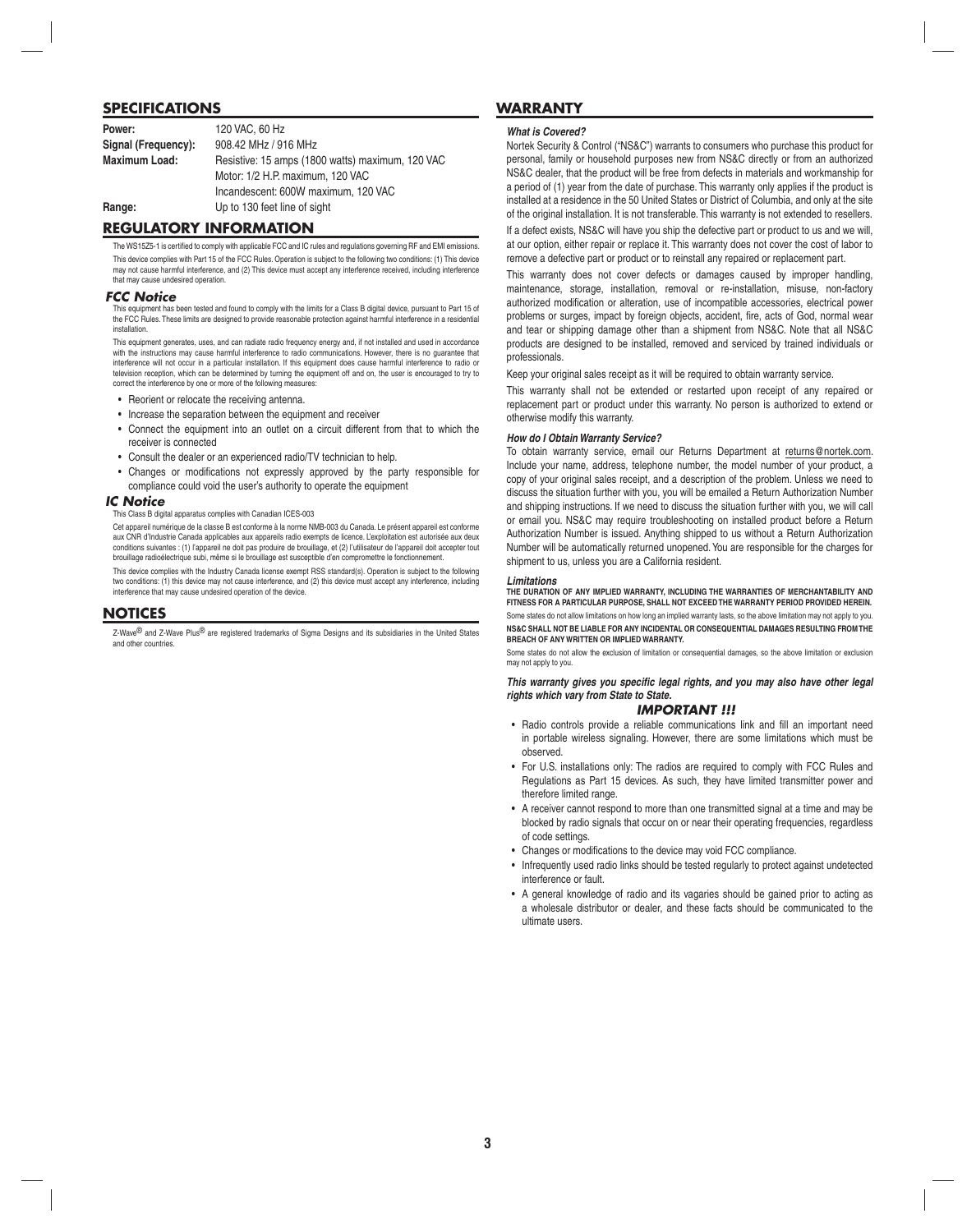# **SPECIFICATIONS**

| Power:               | 120 VAC, 60 Hz                                   |
|----------------------|--------------------------------------------------|
| Signal (Frequency):  | 908.42 MHz / 916 MHz                             |
| <b>Maximum Load:</b> | Resistive: 15 amps (1800 watts) maximum, 120 VAC |
|                      | Motor: 1/2 H.P. maximum. 120 VAC                 |
|                      | Incandescent: 600W maximum, 120 VAC              |
| Range:               | Up to 130 feet line of sight                     |

## **REGULATORY INFORMATION**

The WS15Z5-1 is certified to comply with applicable FCC and IC rules and regulations governing RF and EMI emissions This device complies with Part 15 of the FCC Rules. Operation is subject to the following two conditions: (1) This device may not cause harmful interference, and (2) This device must accept any interference received, including interference that may cause undesired operation.

## *FCC Notice*

This equipment has been tested and found to comply with the limits for a Class B digital device, pursuant to Part 15 of the FCC Rules. These limits are designed to provide reasonable protection against harmful interference in a residential installation.

This equipment generates, uses, and can radiate radio frequency energy and, if not installed and used in accordance with the instructions may cause harmful interference to radio communications. However, there is no guarantee that interference will not occur in a particular installation. If this equipment does cause harmful interference to radio or television reception, which can be determined by turning the equipment off and on, the user is encouraged to try to correct the interference by one or more of the following measures:

- Reorient or relocate the receiving antenna.
- Increase the separation between the equipment and receiver
- Connect the equipment into an outlet on a circuit different from that to which the receiver is connected
- Consult the dealer or an experienced radio/TV technician to help.
- Changes or modifications not expressly approved by the party responsible for compliance could void the user's authority to operate the equipment

## *IC Notice*

#### This Class B digital apparatus complies with Canadian ICES-003

Cet appareil numérique de la classe B est conforme à la norme NMB-003 du Canada. Le présent appareil est conforme aux CNR d'Industrie Canada applicables aux appareils radio exempts de licence. L'exploitation est autorisée aux deux conditions suivantes : (1) l'appareil ne doit pas produire de brouillage, et (2) l'utilisateur de l'appareil doit accepter tout brouillage radioélectrique subi, même si le brouillage est susceptible d'en compromettre le fonctionnement.

This device complies with the Industry Canada license exempt RSS standard(s). Operation is subject to the following two conditions: (1) this device may not cause interference, and (2) this device must accept any interference, including interference that may cause undesired operation of the device.

## **NOTICES**

Z-Wave<sup>®</sup> and Z-Wave Plus<sup>®</sup> are registered trademarks of Sigma Designs and its subsidiaries in the United States and other countries.

# **WARRANTY**

#### *What is Covered?*

Nortek Security & Control ("NS&C") warrants to consumers who purchase this product for personal, family or household purposes new from NS&C directly or from an authorized NS&C dealer, that the product will be free from defects in materials and workmanship for a period of (1) year from the date of purchase. This warranty only applies if the product is installed at a residence in the 50 United States or District of Columbia, and only at the site of the original installation. It is not transferable. This warranty is not extended to resellers.

If a defect exists, NS&C will have you ship the defective part or product to us and we will, at our option, either repair or replace it. This warranty does not cover the cost of labor to remove a defective part or product or to reinstall any repaired or replacement part.

This warranty does not cover defects or damages caused by improper handling, maintenance, storage, installation, removal or re-installation, misuse, non-factory authorized modification or alteration, use of incompatible accessories, electrical power problems or surges, impact by foreign objects, accident, fire, acts of God, normal wear and tear or shipping damage other than a shipment from NS&C. Note that all NS&C products are designed to be installed, removed and serviced by trained individuals or professionals.

Keep your original sales receipt as it will be required to obtain warranty service.

This warranty shall not be extended or restarted upon receipt of any repaired or replacement part or product under this warranty. No person is authorized to extend or otherwise modify this warranty.

#### *How do I Obtain Warranty Service?*

To obtain warranty service, email our Returns Department at returns@nortek.com. Include your name, address, telephone number, the model number of your product, a copy of your original sales receipt, and a description of the problem. Unless we need to discuss the situation further with you, you will be emailed a Return Authorization Number and shipping instructions. If we need to discuss the situation further with you, we will call or email you. NS&C may require troubleshooting on installed product before a Return Authorization Number is issued. Anything shipped to us without a Return Authorization Number will be automatically returned unopened. You are responsible for the charges for shipment to us, unless you are a California resident.

#### *Limitations*

**THE DURATION OF ANY IMPLIED WARRANTY, INCLUDING THE WARRANTIES OF MERCHANTABILITY AND FITNESS FOR A PARTICULAR PURPOSE, SHALL NOT EXCEED THE WARRANTY PERIOD PROVIDED HEREIN.** Some states do not allow limitations on how long an implied warranty lasts, so the above limitation may not apply to you. **NS&C SHALL NOT BE LIABLE FOR ANY INCIDENTAL OR CONSEQUENTIAL DAMAGES RESULTING FROM THE BREACH OF ANY WRITTEN OR IMPLIED WARRANTY.**

Some states do not allow the exclusion of limitation or consequential damages, so the above limitation or exclusion may not apply to you.

This warranty gives you specific legal rights, and you may also have other legal *rights which vary from State to State.*

## *IMPORTANT !!!*

- Radio controls provide a reliable communications link and fill an important need in portable wireless signaling. However, there are some limitations which must be observed.
- For U.S. installations only: The radios are required to comply with FCC Rules and Regulations as Part 15 devices. As such, they have limited transmitter power and therefore limited range
- A receiver cannot respond to more than one transmitted signal at a time and may be blocked by radio signals that occur on or near their operating frequencies, regardless of code settings.
- Changes or modifications to the device may void FCC compliance.
- Infrequently used radio links should be tested regularly to protect against undetected interference or fault.
- A general knowledge of radio and its vagaries should be gained prior to acting as a wholesale distributor or dealer, and these facts should be communicated to the ultimate users.